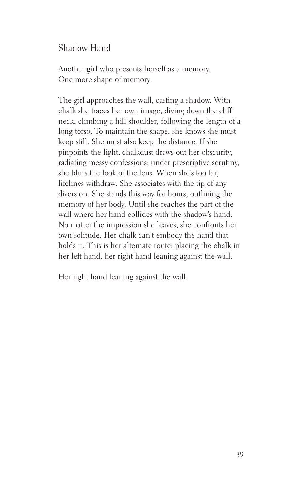## Shadow Hand

Another girl who presents herself as a memory. One more shape of memory.

The girl approaches the wall, casting a shadow. With chalk she traces her own image, diving down the cliff neck, climbing a hill shoulder, following the length of a long torso. To maintain the shape, she knows she must keep still. She must also keep the distance. If she pinpoints the light, chalkdust draws out her obscurity, radiating messy confessions: under prescriptive scrutiny, she blurs the look of the lens. When she's too far, lifelines withdraw. She associates with the tip of any diversion. She stands this way for hours, outlining the memory of her body. Until she reaches the part of the wall where her hand collides with the shadow's hand. No matter the impression she leaves, she confronts her own solitude. Her chalk can't embody the hand that holds it. This is her alternate route: placing the chalk in her left hand, her right hand leaning against the wall.

Her right hand leaning against the wall.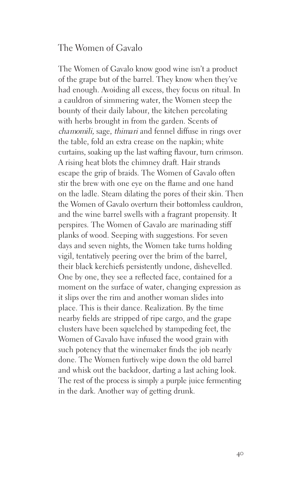## The Women of Gavalo

The Women of Gavalo know good wine isn't a product of the grape but of the barrel. They know when they've had enough. Avoiding all excess, they focus on ritual. In a cauldron of simmering water, the Women steep the bounty of their daily labour, the kitchen percolating with herbs brought in from the garden. Scents of chamomili, sage, thimari and fennel diffuse in rings over the table, fold an extra crease on the napkin; white curtains, soaking up the last wafting flavour, turn crimson. A rising heat blots the chimney draft. Hair strands escape the grip of braids. The Women of Gavalo often stir the brew with one eye on the flame and one hand on the ladle. Steam dilating the pores of their skin. Then the Women of Gavalo overturn their bottomless cauldron, and the wine barrel swells with a fragrant propensity. It perspires. The Women of Gavalo are marinading stiff planks of wood. Seeping with suggestions. For seven days and seven nights, the Women take turns holding vigil, tentatively peering over the brim of the barrel, their black kerchiefs persistently undone, dishevelled. One by one, they see a reflected face, contained for a moment on the surface of water, changing expression as it slips over the rim and another woman slides into place. This is their dance. Realization. By the time nearby fields are stripped of ripe cargo, and the grape clusters have been squelched by stampeding feet, the Women of Gavalo have infused the wood grain with such potency that the winemaker finds the job nearly done. The Women furtively wipe down the old barrel and whisk out the backdoor, darting a last aching look. The rest of the process is simply a purple juice fermenting in the dark. Another way of getting drunk.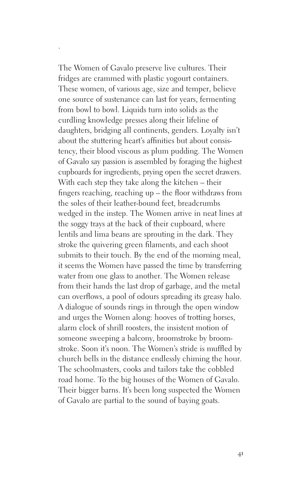The Women of Gavalo preserve live cultures. Their fridges are crammed with plastic yogourt containers. These women, of various age, size and temper, believe one source of sustenance can last for years, fermenting from bowl to bowl. Liquids turn into solids as the curdling knowledge presses along their lifeline of daughters, bridging all continents, genders. Loyalty isn't about the stuttering heart's affinities but about consistency, their blood viscous as plum pudding. The Women of Gavalo say passion is assembled by foraging the highest cupboards for ingredients, prying open the secret drawers. With each step they take along the kitchen – their fingers reaching, reaching up – the floor withdraws from the soles of their leather-bound feet, breadcrumbs wedged in the instep. The Women arrive in neat lines at the soggy trays at the back of their cupboard, where lentils and lima beans are sprouting in the dark. They stroke the quivering green filaments, and each shoot submits to their touch. By the end of the morning meal, it seems the Women have passed the time by transferring water from one glass to another. The Women release from their hands the last drop of garbage, and the metal can overflows, a pool of odours spreading its greasy halo. A dialogue of sounds rings in through the open window and urges the Women along: hooves of trotting horses, alarm clock of shrill roosters, the insistent motion of someone sweeping a balcony, broomstroke by broomstroke. Soon it's noon. The Women's stride is muffled by church bells in the distance endlessly chiming the hour. The schoolmasters, cooks and tailors take the cobbled road home. To the big houses of the Women of Gavalo. Their bigger barns. It's been long suspected the Women of Gavalo are partial to the sound of baying goats.

·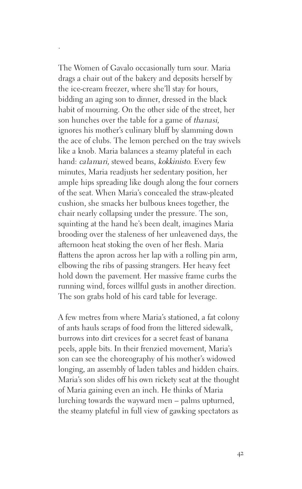The Women of Gavalo occasionally turn sour. Maria drags a chair out of the bakery and deposits herself by the ice-cream freezer, where she'll stay for hours, bidding an aging son to dinner, dressed in the black habit of mourning. On the other side of the street, her son hunches over the table for a game of thanasi, ignores his mother's culinary bluff by slamming down the ace of clubs. The lemon perched on the tray swivels like a knob. Maria balances a steamy plateful in each hand: calamari, stewed beans, kokkinisto. Every few minutes, Maria readjusts her sedentary position, her ample hips spreading like dough along the four corners of the seat. When Maria's concealed the straw-pleated cushion, she smacks her bulbous knees together, the chair nearly collapsing under the pressure. The son, squinting at the hand he's been dealt, imagines Maria brooding over the staleness of her unleavened days, the afternoon heat stoking the oven of her flesh. Maria flattens the apron across her lap with a rolling pin arm, elbowing the ribs of passing strangers. Her heavy feet hold down the pavement. Her massive frame curbs the running wind, forces willful gusts in another direction. The son grabs hold of his card table for leverage.

·

A few metres from where Maria's stationed, a fat colony of ants hauls scraps of food from the littered sidewalk, burrows into dirt crevices for a secret feast of banana peels, apple bits. In their frenzied movement, Maria's son can see the choreography of his mother's widowed longing, an assembly of laden tables and hidden chairs. Maria's son slides off his own rickety seat at the thought of Maria gaining even an inch. He thinks of Maria lurching towards the wayward men – palms upturned, the steamy plateful in full view of gawking spectators as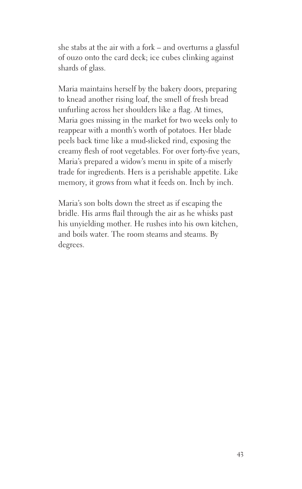she stabs at the air with a fork – and overturns a glassful of ouzo onto the card deck; ice cubes clinking against shards of glass.

Maria maintains herself by the bakery doors, preparing to knead another rising loaf, the smell of fresh bread unfurling across her shoulders like a flag. At times, Maria goes missing in the market for two weeks only to reappear with a month's worth of potatoes. Her blade peels back time like a mud-slicked rind, exposing the creamy flesh of root vegetables. For over forty-five years, Maria's prepared a widow's menu in spite of a miserly trade for ingredients. Hers is a perishable appetite. Like memory, it grows from what it feeds on. Inch by inch.

Maria's son bolts down the street as if escaping the bridle. His arms flail through the air as he whisks past his unyielding mother. He rushes into his own kitchen, and boils water. The room steams and steams. By degrees.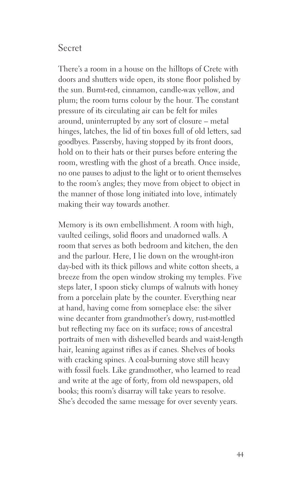## Secret

There's a room in a house on the hilltops of Crete with doors and shutters wide open, its stone floor polished by the sun. Burnt-red, cinnamon, candle-wax yellow, and plum; the room turns colour by the hour. The constant pressure of its circulating air can be felt for miles around, uninterrupted by any sort of closure – metal hinges, latches, the lid of tin boxes full of old letters, sad goodbyes. Passersby, having stopped by its front doors, hold on to their hats or their purses before entering the room, wrestling with the ghost of a breath. Once inside, no one pauses to adjust to the light or to orient themselves to the room's angles; they move from object to object in the manner of those long initiated into love, intimately making their way towards another.

Memory is its own embellishment. A room with high, vaulted ceilings, solid floors and unadorned walls. A room that serves as both bedroom and kitchen, the den and the parlour. Here, I lie down on the wrought-iron day-bed with its thick pillows and white cotton sheets, a breeze from the open window stroking my temples. Five steps later, I spoon sticky clumps of walnuts with honey from a porcelain plate by the counter. Everything near at hand, having come from someplace else: the silver wine decanter from grandmother's dowry, rust-mottled but reflecting my face on its surface; rows of ancestral portraits of men with dishevelled beards and waist-length hair, leaning against rifles as if canes. Shelves of books with cracking spines. A coal-burning stove still heavy with fossil fuels. Like grandmother, who learned to read and write at the age of forty, from old newspapers, old books; this room's disarray will take years to resolve. She's decoded the same message for over seventy years.